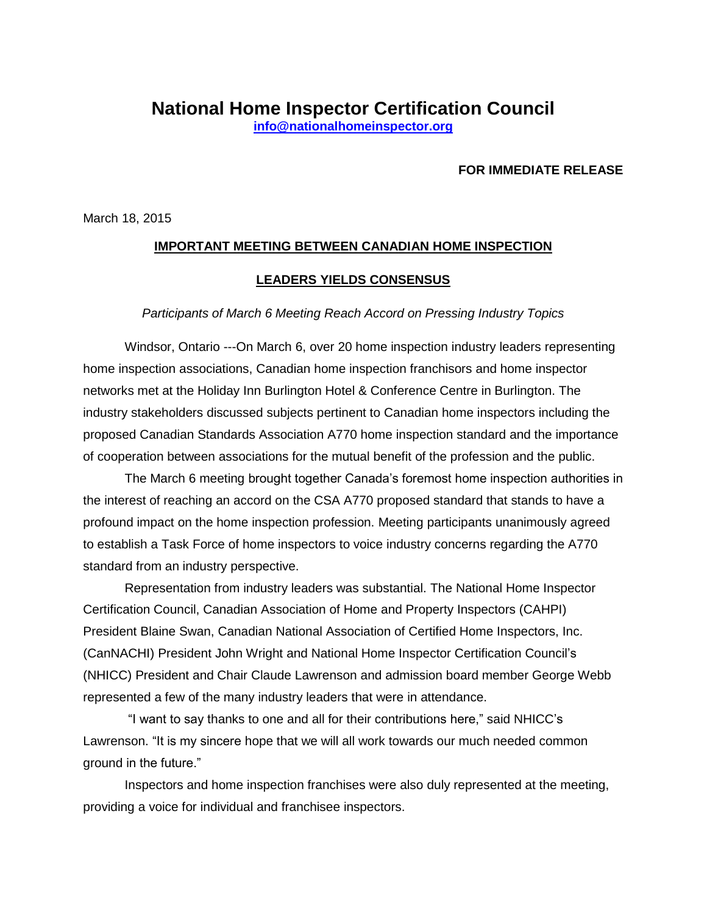## **FOR IMMEDIATE RELEASE**

March 18, 2015

## **IMPORTANT MEETING BETWEEN CANADIAN HOME INSPECTION**

## **LEADERS YIELDS CONSENSUS**

## *Participants of March 6 Meeting Reach Accord on Pressing Industry Topics*

Windsor, Ontario ---On March 6, over 20 home inspection industry leaders representing home inspection associations, Canadian home inspection franchisors and home inspector networks met at the Holiday Inn Burlington Hotel & Conference Centre in Burlington. The industry stakeholders discussed subjects pertinent to Canadian home inspectors including the proposed Canadian Standards Association A770 home inspection standard and the importance of cooperation between associations for the mutual benefit of the profession and the public.

The March 6 meeting brought together Canada's foremost home inspection authorities in the interest of reaching an accord on the CSA A770 proposed standard that stands to have a profound impact on the home inspection profession. Meeting participants unanimously agreed to establish a Task Force of home inspectors to voice industry concerns regarding the A770 standard from an industry perspective.

Representation from industry leaders was substantial. The National Home Inspector Certification Council, Canadian Association of Home and Property Inspectors (CAHPI) President Blaine Swan, Canadian National Association of Certified Home Inspectors, Inc. (CanNACHI) President John Wright and National Home Inspector Certification Council's (NHICC) President and Chair Claude Lawrenson and admission board member George Webb represented a few of the many industry leaders that were in attendance.

"I want to say thanks to one and all for their contributions here," said NHICC's Lawrenson. "It is my sincere hope that we will all work towards our much needed common ground in the future."

Inspectors and home inspection franchises were also duly represented at the meeting, providing a voice for individual and franchisee inspectors.